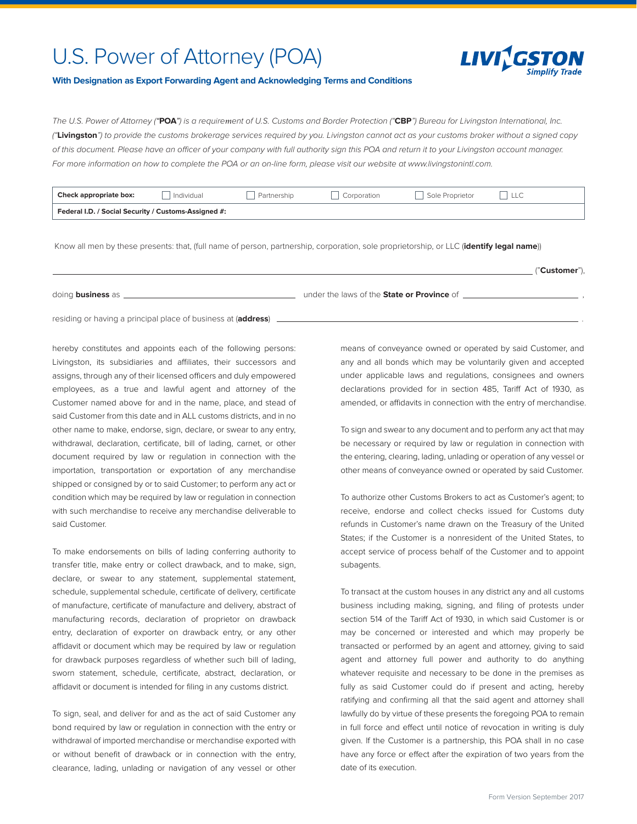## U.S. Power of Attorney (POA)



## **With Designation as Export Forwarding Agent and Acknowledging Terms and Conditions**

*The U.S. Power of Attorney (*"**POA**"*) is a requirement of U.S. Customs and Border Protection ("***CBP***") Bureau for Livingston International, Inc. ("***Livingston***") to provide the customs brokerage services required by you. Livingston cannot act as your customs broker without a signed copy*  of this document. Please have an officer of your company with full authority sign this POA and return it to your Livingston account manager. For more information on how to complete the POA or an on-line form, please visit our website at www.livingstonintl.com.

| Check appropriate box:                               | Individual | Partnership | Corporation | Sole Proprietor |  |  |
|------------------------------------------------------|------------|-------------|-------------|-----------------|--|--|
| Federal I.D. / Social Security / Customs-Assigned #: |            |             |             |                 |  |  |

Know all men by these presents: that, (full name of person, partnership, corporation, sole proprietorship, or LLC (**identify legal name**))

("**Customer**"),

doing **business** as  $\Box$ 

residing or having a principal place of business at (**address**) .

hereby constitutes and appoints each of the following persons: Livingston, its subsidiaries and affiliates, their successors and assigns, through any of their licensed officers and duly empowered employees, as a true and lawful agent and attorney of the Customer named above for and in the name, place, and stead of said Customer from this date and in ALL customs districts, and in no other name to make, endorse, sign, declare, or swear to any entry, withdrawal, declaration, certificate, bill of lading, carnet, or other document required by law or regulation in connection with the importation, transportation or exportation of any merchandise shipped or consigned by or to said Customer; to perform any act or condition which may be required by law or regulation in connection with such merchandise to receive any merchandise deliverable to said Customer.

To make endorsements on bills of lading conferring authority to transfer title, make entry or collect drawback, and to make, sign, declare, or swear to any statement, supplemental statement, schedule, supplemental schedule, certificate of delivery, certificate of manufacture, certificate of manufacture and delivery, abstract of manufacturing records, declaration of proprietor on drawback entry, declaration of exporter on drawback entry, or any other affidavit or document which may be required by law or regulation for drawback purposes regardless of whether such bill of lading, sworn statement, schedule, certificate, abstract, declaration, or affidavit or document is intended for filing in any customs district.

To sign, seal, and deliver for and as the act of said Customer any bond required by law or regulation in connection with the entry or withdrawal of imported merchandise or merchandise exported with or without benefit of drawback or in connection with the entry, clearance, lading, unlading or navigation of any vessel or other means of conveyance owned or operated by said Customer, and any and all bonds which may be voluntarily given and accepted under applicable laws and regulations, consignees and owners declarations provided for in section 485, Tariff Act of 1930, as amended, or affidavits in connection with the entry of merchandise.

To sign and swear to any document and to perform any act that may be necessary or required by law or regulation in connection with the entering, clearing, lading, unlading or operation of any vessel or other means of conveyance owned or operated by said Customer.

To authorize other Customs Brokers to act as Customer's agent; to receive, endorse and collect checks issued for Customs duty refunds in Customer's name drawn on the Treasury of the United States; if the Customer is a nonresident of the United States, to accept service of process behalf of the Customer and to appoint subagents.

To transact at the custom houses in any district any and all customs business including making, signing, and filing of protests under section 514 of the Tariff Act of 1930, in which said Customer is or may be concerned or interested and which may properly be transacted or performed by an agent and attorney, giving to said agent and attorney full power and authority to do anything whatever requisite and necessary to be done in the premises as fully as said Customer could do if present and acting, hereby ratifying and confirming all that the said agent and attorney shall lawfully do by virtue of these presents the foregoing POA to remain in full force and effect until notice of revocation in writing is duly given. If the Customer is a partnership, this POA shall in no case have any force or effect after the expiration of two years from the date of its execution.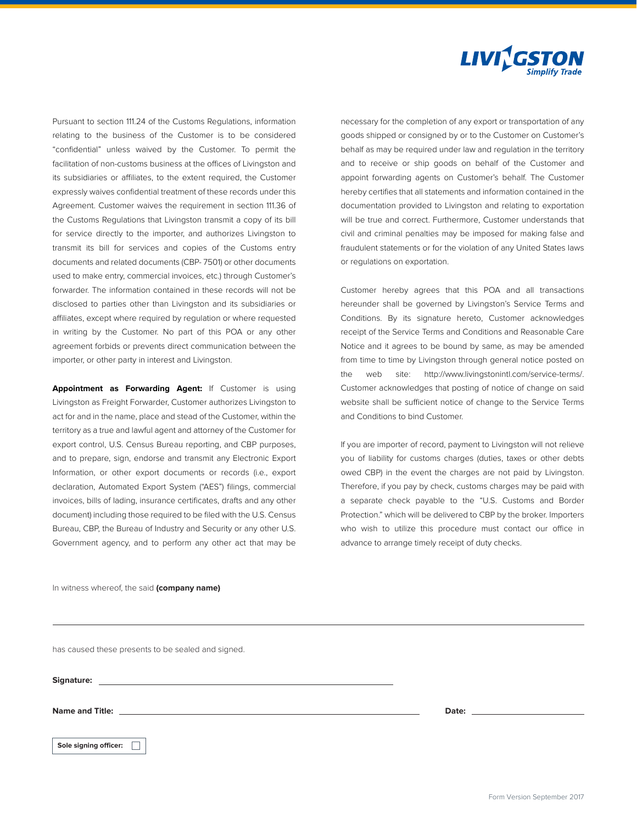

Pursuant to section 111.24 of the Customs Regulations, information relating to the business of the Customer is to be considered "confidential" unless waived by the Customer. To permit the facilitation of non-customs business at the offices of Livingston and its subsidiaries or affiliates, to the extent required, the Customer expressly waives confidential treatment of these records under this Agreement. Customer waives the requirement in section 111.36 of the Customs Regulations that Livingston transmit a copy of its bill for service directly to the importer, and authorizes Livingston to transmit its bill for services and copies of the Customs entry documents and related documents (CBP- 7501) or other documents used to make entry, commercial invoices, etc.) through Customer's forwarder. The information contained in these records will not be disclosed to parties other than Livingston and its subsidiaries or affiliates, except where required by regulation or where requested in writing by the Customer. No part of this POA or any other agreement forbids or prevents direct communication between the importer, or other party in interest and Livingston.

**Appointment as Forwarding Agent:** If Customer is using Livingston as Freight Forwarder, Customer authorizes Livingston to act for and in the name, place and stead of the Customer, within the territory as a true and lawful agent and attorney of the Customer for export control, U.S. Census Bureau reporting, and CBP purposes, and to prepare, sign, endorse and transmit any Electronic Export Information, or other export documents or records (i.e., export declaration, Automated Export System ("AES") filings, commercial invoices, bills of lading, insurance certificates, drafts and any other document) including those required to be filed with the U.S. Census Bureau, CBP, the Bureau of Industry and Security or any other U.S. Government agency, and to perform any other act that may be necessary for the completion of any export or transportation of any goods shipped or consigned by or to the Customer on Customer's behalf as may be required under law and regulation in the territory and to receive or ship goods on behalf of the Customer and appoint forwarding agents on Customer's behalf. The Customer hereby certifies that all statements and information contained in the documentation provided to Livingston and relating to exportation will be true and correct. Furthermore, Customer understands that civil and criminal penalties may be imposed for making false and fraudulent statements or for the violation of any United States laws or regulations on exportation.

Customer hereby agrees that this POA and all transactions hereunder shall be governed by Livingston's Service Terms and Conditions. By its signature hereto, Customer acknowledges receipt of the Service Terms and Conditions and Reasonable Care Notice and it agrees to be bound by same, as may be amended from time to time by Livingston through general notice posted on the web site: http://www.livingstonintl.com/service-terms/. Customer acknowledges that posting of notice of change on said website shall be sufficient notice of change to the Service Terms and Conditions to bind Customer.

If you are importer of record, payment to Livingston will not relieve you of liability for customs charges (duties, taxes or other debts owed CBP) in the event the charges are not paid by Livingston. Therefore, if you pay by check, customs charges may be paid with a separate check payable to the "U.S. Customs and Border Protection." which will be delivered to CBP by the broker. Importers who wish to utilize this procedure must contact our office in advance to arrange timely receipt of duty checks.

In witness whereof, the said **(company name)** 

has caused these presents to be sealed and signed.

**Signature:** 

**Name and Title: Date:**

**Sole signing officer:**